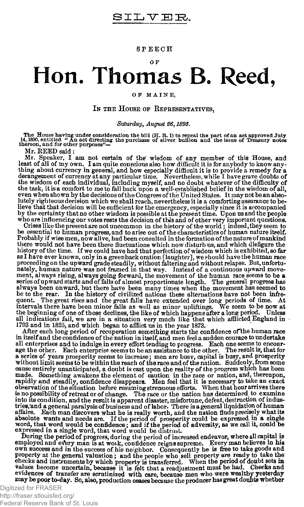**SPEECH** 

## **OF Hon. Thomas B. Reed,**

## OF MAINE,

## **IN THE HOUSE OF REPRESENTATIVES,**

## *Saturday, August 26,189\$.*

The House having under consideration the bill  $(H, R, 1)$  to repeal the part of an act approved July 14, 1890, entitled " An act directing the purchase of silver, builion and the issue of Treasury notes<br>thereon, and for ot

Mr. REED said:

Mr. Speaker, I am not certain of the' wisdom of any member of this House, and least of all of my own. I am quite conscious also how difficult it is for anybody to know anything about currency in general, and how especially difficult it is to provide a remedy for a derangement of currency at any particular time. Nevertheless, while I have grave doubts of the wisdom of each individual, including myself, and no doubt whatever of the difficulty of the task, it is a comfort to me to fallback upon a well-established belief in the wisdom of all, even when shown by the decisions of the Congress of the United Stages. It may not be an absolutely righteous decision which we shall reach, nevertheless it is a comforting assurance to believe that that decision will be sufficient for the emergency, especially since it is accompanied<br>by the certainty that no other wisdom is possible at the present time. Upon us and the people who are influencing our votes rests the decision of this and of other very important questions.

Crises like thepresentare not uncommon in the history of the world; indeed, they eeem to be essential to human progress, and to arise out of the characteristics of human nature itself. Probably if wise men, now alive, had been consulted in the formation of the nature of mankind there would not have been these fluctuations which now disturb us, and which disfigure the history of the time. If we could have had that perfection of wisdom which is exhibited, so far as I have ever known, only in a greenback oration [laughter], we should have the human race proceeding on the upward grade steadily, without faltering and without relapse. But, unfortu-<br>nately, human nature was not framed in that way. Instead of a continuous upward move-<br>ment, always rising, always going forward, always been onward, but there have been many times when the movement has seemed to<br>be to the rear. In the history of civilized nations these alternations have not been infre-<br>quent. The great rises and the great falls have all indications fail, we are in a situation very much like that which afflicted England in 1793 and in 1825, and which began to afflict us in the year 1873.

After each long period of recuperation something starts the confidence of the human race in itself and the confidence of the nation in itself, and men feel a sudden courage to undertake all enterprises and to indulge in every effort tending to progress. Each one seems to encourage the other. Each enterprise se a series of years prosperity seems to increase; men are busv, capital is busy, and prosperity without limit seems to be within the reach of the race and of the nation. Suddenly, from some cause entirely unanticipated, a doubt is cast upon the reality of the progress which has been<br>made. Something awakens the element of caution in the race or nation, and, thereupon,<br>rapidly and steadily, confidence disappear into its condition, and the result is apparent **disaster, misfortune,** defeat, destruction of indus-tries,'and a general paralysis of business and of labor- There is a general liquidation of human affairs. Each man discovers what he is really worth, and the nation finds precisely what its<br>absolute wants and needs are. If the period of prosperity could be expressed in a single<br>worth, that word would be confidence; an

employed and every man is at work, confidence reigns supreme. Every man believes in his own auccess and in the success of his neighbor. Consequently he is free to take goods and poperty at the general valuation; and the pr values become uncertain, because it is felt that a readjustment must be had. Checks and evidences of transfer are scrutinized with care, because men who were wealthy yesterday may be poor to-day. So, also, production ceases because the producer has great doubte whether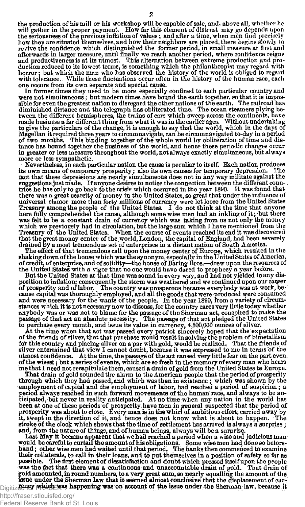the production of his mill or his workshop will be capable of sale, and, above all, whether he<br>will gather in the proper payment. How far this element of distrust may go depends upon<br>the seriousness of the previous inflati how they are situated themselves, and how their neighbors are placed, there begins slowly to revive the confidence which distinguished the former period, in small measure at first and afterwards in larger measure, until finally we reach another period, where confidence reigns<br>and productiveness is at its utmost. This alternation between extreme production and pro-<br>duction reduced to its lowest terms, horror; but which the man who has observed the history of the world is obliged to regard with tolerance. While these fluctuations occur often in the history of the human race, each one occurs from its own separate and special cause.

In former times they used to be more especially confined to each particular country and<br>were not simultaneous; but modern times have bound the earth together, so that it is impos-<br>sible for even the greatest nation to disr diminished distance and the telegraph has obliterated time. The ocean steamers plying between the different hemispheres, the trains of cars which sweep across the continents, have made business a far different thing from what it was in the earlier ages. Without undertaking<br>to give the particulars of the change, it is enough to say that the world, which in the days of<br>Magellan it required three years tance has bound together the business of the world, and hence these periodic changes occur in greater or less measure throughout the world, not always exactly simultaneous, but always more or less sympathetic.

Nevertheless, in each particular nation the cause is peculiar to itself. Each nation produces sown means of temporary prosperity; also its own causes for temporary depression. The its own means of temporary prosperity; also its own causes for temporary depression. fact that these depressions are nearly simultaneous does not in any way militate against the suggestions just made. If anyone desires to notice the connection between the different coun-. tries he has only to go back to the crisis which occurred in the year 1890. It was found that<br>there was a great scarcity of money in the United States, so great that under the influence of<br>universal clamor more than forty Treasury among the people of the United States. I do not think at the time that anyone here fully comprehended the cause, although some wise men had an inkling of it; 'but there was felt to be a constant drain of currency which was taking from us not only the money which we previously had in circulation, but the large sum which I have mentioned from the Treasury of the United States. When the course of events reached its end it was discovered that the great money center of the world, London, the capital of England, had been severely drained by a most tremendous set of enterprises in a distant nation of South America.

The effect of that tremendous call upon the money center of Europe, which resulted in the shaking down of the house which was the synonym, especially in the United States of America, of credit, of enterprise, and of solidi the United States with a vigor that no one would have dared to prophecy a year before.

But the United States at that time was sound in every way, and had not yielded to any disposition to inflation; consequently the storm was weathered and we continued upon our career<br>of prosperity and of labor. The country was prosperous because everybody was at work, be-<br>cause capital was thoroughly employed, anybody was or was not to blame for the passage of the Sherman act, conspired to make the passage of that act an absolute necessity. The passage of that act pledged the United States to purchase every month, and issue its value in currency, 4,500,000 ounces of silver.

At the time when that act was passed every patriot sincerely hoped that the expectation of the friends of silver, that that purchase would result in solving the problem of bimetallism for this country and placing silver on a par with gold, would be realized. That the friends of silver entertained that view I cannot doubt, because it was expressed to me in terms of the utmost confidence. At the time, the passage of the act caused very little fear on the part even of the wisest; but a series of events, which are so fresh in the memory of every man who hears me that I need not recapitulate them, caused a drain of gold from the United States to Europe.

That drain of gold sounded the alarm to the American people that the period of prosperity<br>through which they had passed, and which was then in existence; which was shown by the<br>employment of capital and the employment of l period always reached in such forward movements of the human race, and always to be anticipated, but never in reality anticipated. At no time when any nation in the world has been at one of these periods of prosperity have men in general suspected that the period of<br>prosperity was about to close. Every man is in the whirl of ambitious effort, carried away by<br>it, swept in the direction of it, an stroke of the clock which shows that the time of settlement has arrived is always a surprise ; and, from the nature of things, and of human beings, al ways will be a surprise.

Last May it became apparent that we had reached a period when a wise and judicious man would be careful to curtail the amount of his obligations. Some wise men had done so before-<br>hand; other wise men had waited until that possible. The first element of dissatisfaction and doubt which pressed itself upon the people was the fact that there was a continuous and unaccountable drain of gold. That drain of gold amounted, in round numbers, to a very great sum, **so** nearly equalling the amount of the issue under the Sherman law that **it** seemed **Almost** conclusive that the displacement of cur-Digitized for FRASER was happening was on account of the issue under the Sherman law, because it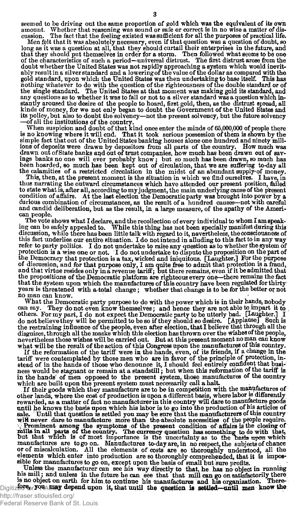seemed to be driving out the same proportion of gold which was the equivalent of its own<br>amount. Whether that reasoning was sound or safe or correct is in no wise a matter of disamount. Whether that reasoning was sound or safe or correct is in no wise a matter of dis-The fact that the feeling existed was sufficient for all the purposes of practical life.

Men felt that it was absolutely necessary, even if that question was a question of doubt, so<br>long as it was a question at all, that they should curtail their enterprises in the future, and<br>that they should put themselves i doubt whether the United States was not rapidly approaching a system which would inevitably result in a silver standard and a lowering of the value of the dollar as compared with the gold standard, upon which the United States was then undertaking to base itself. This has nothing whatever to do with the ques its policy, but also to doubt the solvency—not the present solvency, but the future solvency —of all the institutions of the country.

When suspicion and doubt of that kind once enter the minds of 65,000,000 of people there is no knowing where it will end. That it took serious possession of them is shown by the simple fact that out of the United States banking houses alone one hundred and ninety millions of deposits were drawn by depositors from all parts of the country. How much was drawn out of State banks and out of trust companies, how much has been drawn out of savings banks no one will ever probably know; but so much has been drawn, so much has been hoarded, so much has been hoarded, on more than

thus narrating the outward circumstances which have attended our present position, failed to state what is, after all, according to my judgment, the main underlying cause of the present condition of affairs. At the last election the Democratic party was brought into power by a curious combination of circumstances, as the result of a hundred causes—not with careful and candid deliberation, but as the resul can people.

The vote shows what I declare, and the recollection of every individual to whom I am speak-ing can be safely appealed to. While this thing has not been specially manifest during this discussion, while there has been little talk with regard to it, nevertheless, the consciousness of this fact underlies our entire situation. I do not intend in alluding to this fact to in any way<br>refer to party politics. I do not undertake to raise any question as to whether the system of<br>protection is a wise one or not of discussion, and for that purpose only, I am quite free to admit that protection is a fraud, and that virtue resides only in a revenue tariff; but there remains, even if it be admitted that the propositions of the Democratic platform are righteous every one—there remains the feet that the system upon which the manufactures of this country have been regulated for thirty years is threatened with a total change; whether that change is to be for the better or not no man can know.

What the Democratic party purpose to do with the power which is in their hands, nobody can say. They do not even know themselves: and hence they are not able to impart it to They do not even know themselves; and hence they are not able to impart it to others. For my part, I do not expect the Democratic party to be utterly bad. [Laughter.] I<br>do not believe they will be permitted to be so if they should so desire. [Applause] Such is<br>the restraining influence of the people nevertheless those wishes will be carried out. But at this present moment no man can know what will be the result of the action of this Congress upon the manufactures of this country.

If the reformation of the tariff were in the hands, even, of its friends, if a change in the tariff were contemplated by those men who are in favor of the principle of protection, instead of in the hands of those who denou which are built upon the present system must necessarily call a halt.

If their goods which they manufacture are to be in competition with the manufactures of other lands, where the cost of production is upon a different basis, where labor is differently rewarded, as a matter of fact no manufacturer in this country will dare to manufacture goods until he knows the basis upon whi Prominent among the symptoms of the present condition of affairs is the closing of mills in all parts of the country. The currency question has something to do with that, but that which but that which is of most importance or of miscalculation. All the elements of costs are bo thoroughly understood, all the elements which enter into production are so thoroughly comprehended, that it is impos-

suble for manufactures to go on, except upon the basis of small but sure profits.<br>Unless the manufacturer can see his way directly to that, he has no object in running<br>his mill; and unless in the future he can see that tha Digitized **F<sub>or</sub> YOU Atlax depend upon it, that until the question is settled—until men know the**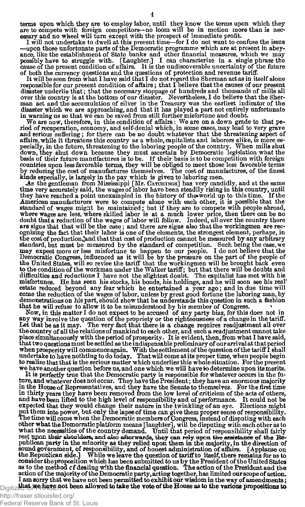terms upon which they are to employ labor, until they know the terms upon which they are to compete with foreign competitors—no loom will be in motion more than is necessary and no wheel will turn except with the prospect

I will not undertake to dwell at this present time—for I do not want to confuse the issue —upon those unfortunate parts of the Democratic programme which are at present in abeyance, like the establishment of State banks and other financial measures, which we may possibly have to struggle with. [Laughter.] I can characterize in a single phrase the cause of the present condition of affairs. It is of both the currency questions and the questions of protection and revenue tariff.

It will be seen from what I have said that I do not regard the Sherman act as in itself alone responsible for our present condition of affairs; that I believe that the causes of our present disaster underlie that; that the necessary stoppage of hundreds and thousands of mills all<br>over this country is at the bottom of our disaster. Nevertheless, I do believe that the Sher-<br>man act and the accumulation of silve disaster which we are approaching, and that it has played a part not entirely unfortunate in warning us so that we can be saved from still further misfortune and doubt

We are now, therefore, in this condition of affairs: We are on a down grade to that pe-riod of recuperation, economy, and self-denial which, in some cases, may lead to very grave and serious suffering; for there can be no doubt whatever that the threatening aspect of aflairs, while it threatens this country as a whole, capitalists and laborers alike, is more especially, in the future, threatening to the laboring people of the country. When mills shut down, they shut down because they must ascertain by Democratic legislation what the basis of their future manufactures is to be. I kinds especially, is largely in the pay which is given to laboring men.

As the gentleman from Mississippi [Mr. CATCHINGS] has very candidly, and at the same time very accurately said, the wages of labor have been steadily rising in this country, until they have reached a point unexampled in the history of the world up to this time. If the American manufacturers were to compete alone with each other, it is possible that the standard of wages might be maintained; but if t where wages are less, where skilled labor is at a much lower price, then there can be no doubt that a reduction of the wages of labor will follow. Indeed, all over the country there are signs that that will be the case; and there are signs also that the workingmen are rec-ognizing the fact that their labor is one of the elements, the strongest element, perhaps, in the cost of production, and that that cost of production cannot be measured by any arbitrary standard, but must be measured by the standard of competition. Such being the case, we may expect more or less misfortune to happen to our people. I do not believe that the Democratic Congress, influenced as it will be by the United States, will so revise the tariff that the workingmen will be brought back even<br>to the condition of the workman under the Walker tariff; but that there will be doubts and<br>difficulties and reductions I have not t misfortunes. He has seen his stocks, his bonds, his holdings, and he will soon see his real' estate reduced beyond any fear which he entertained a year ago ; and in due time will some the reduction of the wages of labor, unless by great good fortune the laboring man, by demonstrations on his part, should show that he understands this question in such a fashion that he will refuse to allow it to be misunderstood by his member of Congress.

Now, in this matter I do not expect to be accused of any party bias, for this does not in<br>any way involve the question of the propriety or the righteousness of a change in the tariff.<br>Let that be as it may. The very fact t the country of all the relations of mankind to each other, and such a readjustment cannot take<br>place simultaneously with the period of prosperity. It is evident, then, from what I have said,<br>that two questions must be sett when prosperity will commence again. With the settlement of the question of the tariff I shall<br>undertake to have nothting to do today. That will come at its proper time, when people begin<br>to realize that that is the seriou we have another question before us, and one which we will have to determine upon its merits.

It is perfectly true that the Democratic party is responsible for whatever occurs in the fu-ture, and whatever does not occur. They have the President; they have an enormous majority in the House of Representatives, and they have the Senate to themselves. For the first time in thirty years they have been removed from the low level of criticism of the acts of others, and have been lifted to the high level of responsibility and of performance. It could not be expected that they would change their nature in the twinkling of an eye. Elections might<br>put them into power, but only the lapse of time can give them proper sense of responsibility.<br>The time will come when the Democratic ment than their shoulders, and also afterwards, they can rely upon the assistance of the Republican party in the minority as they relied upon them in the majority, in the direction of solution party in the minority as they consider the proposition which has been submitted to us by the President of the United States  $\omega$  as to the method cf dealing with the financial question. The action of the President and the particle of the President and action of the majority of the Democratic party, acting together, has limited our scope of action.<br>I am sorry that we have not been permitted to exhibit our wisdom in the way of amendments; **that we have not been** allowed **to take the vote of the House as to the various** propositions **to**  Digitized for FRASER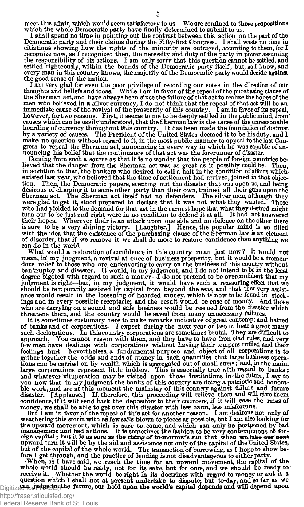tneet this affair, which would seem satisfactory to us. We are confined to those propositions which the whole Democratic party have finally determined to submit to us.

I shall spend no time in pointing out the contrast between this action on the part of the Democratic party and their claims during the Fifty-first Congress. I shall waste no time in citiations showing how the rights of the minority are outraged, according to them, for I recognize now, as I recognized then, the necessity and duty of the party in power assuming<br>the responsibility of its actions. I am only sorry that this question cannot be settled, and<br>settled righteously, within the bounds every man in this country knows, the majority of the Democratic party would decide against the good sense of the nation.

I am very glad for even the poor privilege of recording our votes in the direction of our thoughts and beliefs and ideas. While I am in favor of the repeal of the purchasing clause of the Sherman act, and have always been men who believed in a silver currency, I do not think that the repeal of that act will be an immediate cause of the revival of the prosperity of this country. I am in favor of its repeal, however, for two reasons. First, it seems to me to be deeply settled in the public mind, from causes which can be easily understood, that the Sherman law is the cause of the unreasonable hoarding of currency throughout this country. It has been made the foundation of distrust<br>by a variety of causes. The President of the United States deemed it to be his duty, and I make no question without regard to it, in the most public manner to appeal to the last Congress to repeal the Sherman act, announcing in every way in which he was capable of announcing his belief that the continuance of that act was the forerunner of disaster.

Coming from such a source as that it is no wonder that the people of foreign countries believed that the danger from the Sherman act was as great as it possibly could be. Then, in addition to that, the bankers who desired to call a halt in the condition of affairs whichexisted last year, who believed that the time of settlement had arrived, joined in that objection. Then, the Democratic papers, scenting out the disaster that was upon us, and being<br>desirous of charging it to some other party than their own, trained all their guns upon the<br>Sherman act. The Sherman act itself had n turn out to be just and right were in no condition to defend it at all. It had not answered<br>their hopes. Wherever their is an attack upon one side and no defence on the other there<br>is sure to be a very shining victory. [La of disorder, that if we remove it we shall do more to restore confidence than anything we can do in the world.

What would a restoration of confidence in this country mean just now? It would not mean, in' my judgment, a revival at Once of business prosperity, but it would be a tremendous relief to those who are endeavoring to carry on the business of this country without bankruptcy and disaster. It would, in my judgment, and I do not intend to be in the least degree bigoted with regard to such a matte ance would result in the loosening of hoarded money, which is now to be found in stockings and in every possible receptacle; and the result would be ease of money. And those who are carrying on a sound and safe business would be rescued from the disaster which threatens them, and the country would be saved from many unnecessary failures.

It is sometimes customary here to make remarks indicative of great contempt and hatred of banks and of corporations. I expect during the next year or two to hear a great many such declarations. In this country corporations are sometimes brutal. They are difficult to approach. You cannot reason with them, and they have to have iron-clad rules, and very few men have dealings with corporations without having their tempers ruffled and their feelings hurt. Nevertheless, a fundamental purpo you now that in my judgment the banks of this country are doing a patriotic and honorable work, and are at this moment the mainstay of this country against failure and future and future and future and future and future and money, we shall be able to get over this disaster with less harm, less misfortune.

But I am in favor of the repeal of this act for another reason. I am desirous not only of weathering this storm with as few sails blown to pieces as possible, but I am also looking for the upward movement, which is sure to come, and which can only be postponed by bad management and bad actions. It is sometimes

eign capital; but it is as sure as the rising of to-morrow's sun that when wa take our next upward turn it will be by the aid and assistance not only of the capital of the vehicle States, but of the capital of the whole w Digitized **h** judge in the future, our hold upon the world's capital depends and will depend upon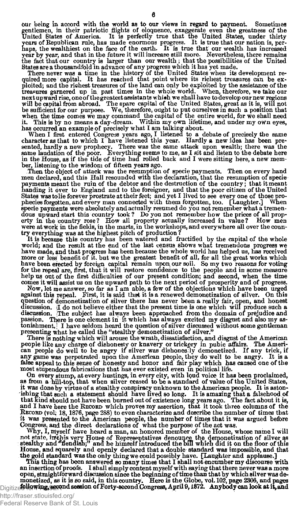our being in accord with the world as to our views in regard to payment. Sometimes gentlemen, in their patriotic flights of eloquence, exaggerate even the greatness of the United States, of America. It is perfectly true that the United States, under thirty years of Republican rule, has made enormous prog year by year, and that in the future it will increase still more. Nevertheless, there remains the fact that our country is larger than our wealth; that the possibilities of the United States area thousandfold in advance of any progress which it has yet made.

There never was a time in the history of the United States when its development re-quired more capital. It has reached that point where its richest treasures can be exploited; and the richest treasures of the land can only be exploited by the assistance of the treasures garnered up in past times in the whole world. When, therefore, we take our next upward rise, one of the garatest assis

When I first entered Congress years ago, I listened to a debate of precisely the same character as that to which I have listened this year. Hardly a new idea has been presented, hardly a new prophecy. There was the same at ber, listening to the wisdom of fifteen years ago.<br>Then the object of attack was the resumption of specie payments. Then on every hand

men declared, and this Hall resounded with the declaration, that the resumption of specie payments meant the ruin of the debtor and the destruction of the country; that it meant handing it over to England and to the foreigner, and that the poor citizen of the United States was tolie forever prostrate at their feet; and yet I lived to see every one of those pro-<br>phecies forgotten, and every man connected with them forgotten, too. [Laughter.] When specie payments were absolutely and actually resumed do you not remember what a tremen-<br>dous upward start this country took? Do you not remember how the prices of all prop-<br>erty in the country rose? How all property actual were at work in the fields, in the marts, in the workshops, and every where all over the country everything was at the highest pitch of production ?

It is because this country has been watered and fructified by the capital of the whole world; and the result at the end of the last census shows what tremendous progress we have made, and that progress has been because the whole world has helped us, has received more or less benefit of it. but we the greatest benefit of all, for all the great works which have been erected by foreign capital remain upon our soil. So my two reasons for voting<br>for the repeal are, first, that it will restore confidence to the people and in some measure<br>help us out of the first difficulties of comes it will assist us on the upward path to the next period of prosperity and of progress.

Now, let me answer, so far as I am able, a few of the objections which have been urged against this repeal. First, it is said that it is a renewed demonetization of silver. On this question of demonetization of silver there has never been a really fair, open, and honest discussion, jl do not believe either that the present time is one which will produce such a discussion. The subject has always been approached from the domain of prejudice and passion. There is one element in it which has always excited my disgust and also my astonishment. I have seldom heard the question of silver discussed without some gentleman presenting what he called the "stealthy demonetization of silver."

There is nothing which will arouse the wrath, dissatisfaction, and disgust of the American people like any charge of dishonesty or knavery or trickery in pubic affairs. The American people do well to be angry if silver was dishones ly demonetized. If any trick, if any game was perpetrated upon the American peopl false appeal to tnis sense of honesty and honor and fair play which has caused one of the most stupendous fabrications that has ever existed even in political life.

On every stump, at every hustings, in every city, with loud voice it has been proclaimed, as from a hill-top, that when silver ceased to be a standard of value of the United States, it was done by virtue of a stealthy cons ishing that such a statement should have lived so long. It is amazing that a falsehood of that kind should not have been burned out of existence long years ago. The fact about it is, and I have been burned out of existence It was presented to the American people, the number of times that it was argued before<br>Congress, and the direct declarations of what the purpose of the act was.

Why, I, myself have heard a man, an honored member of the House, whose name I will<br>not state, inthis very House of Representatives denounce the demonetization of silver as<br>stealthy and "fiendish;" and he himself introduced House, and squarely and openly declared that a double standard was impossible, and that the gold standard was the only thing we could possibly have. [Laughter and applause.]

This thing has been answered so many times that I shall not encumber my discourse with an insertion of proofs. I shall simply content myself with saying that there never was a more open, straightforward discussion since the beginning of time than that by which silver was de-monetized, as it is so said, in this country. Here is the Globe, vol. 102, page 2306, and pages Digitize**t Howing, second session of Forty-second Congress, April 9, 1872. Anybody can look at it, and**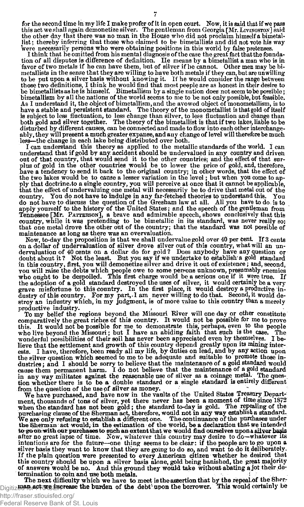for the second time in my life I make profer of it in open court. Now, it is said that if we pass<br>this act we shall again demonetize silver. The gentleman from Georgia [Mr. Livingston] said<br>the other day that there was no list; thereby inferring that those who claimed to be bimetallists and did not vote his way were necessarily persons who were obtaining positions in this world by false pretenses.

I think that he omitted from his mental diagnosis of the case the great fact that the foundation of all disputes is difference of definition. He means by a bimetallist a man who is in favor of two metals if he can have the metallists in the sense that they are willing to have both metals if they can, but are unwilling to be put upon a silver basis without knowing it. If he would consider the range between those two definitions, I think he would find that most people are as honest in their desire to be bimetallists as he is himself. Bimetallism by a single nation does not seem to be possible;<br>bimetallism by all the nations of the world seems to me to be not only possible, but feasible.<br>As I understand it, the object o is subject to less fluctuation, to less change than silver, to less fluctuation and change than both gold and silver together. The theory of the bimetallist is that if two lakes, liable to be disturbed by different causes, can be connected and made to flow into each other interchangeably, they will present a much greater expanse, and any change of level will therefore be much less—the change in each lake being distributed over both.

I can understand this theory as applied to the metallic standards of the world. I can understand that if gold by any accident should be undervalued in any country and driven out of that country, that would send it to the other countries; and the effect of that surplus of gold in the other countries would be to lower the price of gold, and, therefore, have a tendency to send it back to the orig ply that doctrine.to a single country, you will perceive at once that it cannot be applicable, that the effect of undervaluing one metal will necessarily be to drive that metal out of the country. You do not have to indulg Tennessee [Mr. PATTERSON], a brave and admirable speech, shows conclusively that this country, while it was pretending to be bimetallic in its standard, was never really so; that one metal drove the other out of the countr maintenance as long as there was an overvaluation.

Now, to-day the proposition is that we shall undervalue gold over 40 per cent. If 3 cents<br>on a dollar of undervaluation of silver drove silver out of this country, what will an un-<br>dervaluation of 40 cents on a dollar do f in this country, first, you will demonetize silver and drive it out of existence; and, second, you will raise the debts which people owe to some persons unknown, presumably enemies<br>who ought to be despoiled. This first charge would be a serious one if it were true. If<br>the adoption of a gold standard destroyed the us grave misfortune to this country. In the first place, it would destroy a productive in-<br>dustry of this country. For my part, I am never willing to do that. Second, it would de-<br>stroy an industry which, in my judgment, is o

To my belief the regions beyond the Missouri River will one day or other constitute<br>comparatively the great riches of this country. It would not be possible for me to prove<br>this. It would not be possible for me to demonstr who live beyond the Missouri; but I have an abiding faith that such is the case. The wonderful possibilities of their soil has never been appreciated even by themselves. I believe that the settlement and growth of this country depend greatly upon its mining interests. I have, therefore, been ready all my life, by duties on lead, and by any action upon the silver question which seemed to me to dustries; and I should be sorry to believe that the maintenance of a gold standard would cause them permanent harm. I do not believe that the maintenance of a gold standard in any way militates against the reasonable use o

We have purchased, and have now in the vaults of the United States Treasury Department, thousands of tons of silver, yet there never has been a moment of time since 1872 when the standard has not been gold; the standard to-day is gold. The repeating of the purchasing clause of the Sherman act, therefore, would not in any way establish a different one. The continuance of the purchases unde to go on with our purchases to such an extent that we would find ourselves upon a silver basis<br>after no great lapse of time. Now, whatever this country may desire to do—whatever its<br>intentions are for the future—one thing silver basis they want to know that they are going to do so, and want to do it deliberately.<br>If the plain question were presented to every American citizen whether he desired that<br>this country should be upon a silver basis of answers would be no. And this ground they would take without abating a jot their determination to coin and use both metals.

termination to coin and use both metals.<br>The next difficulty which we have to meet is the assertion that by the repeal of the Sher-<br>Digitiz LUAP, AFT NET MET are seen the burden of the debt upon the borrower. This would ce